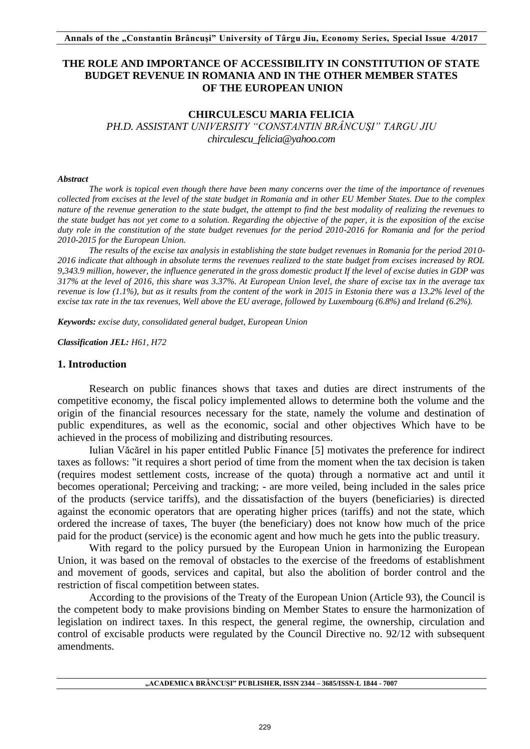## **THE ROLE AND IMPORTANCE OF ACCESSIBILITY IN CONSTITUTION OF STATE BUDGET REVENUE IN ROMANIA AND IN THE OTHER MEMBER STATES OF THE EUROPEAN UNION**

#### **CHIRCULESCU MARIA FELICIA**

*PH.D. ASSISTANT UNIVERSITY "CONSTANTIN BRÂNCUŞI" TARGU JIU chirculescu\_felicia@yahoo.com* 

#### *Abstract*

*The work is topical even though there have been many concerns over the time of the importance of revenues collected from excises at the level of the state budget in Romania and in other EU Member States. Due to the complex nature of the revenue generation to the state budget, the attempt to find the best modality of realizing the revenues to the state budget has not yet come to a solution. Regarding the objective of the paper, it is the exposition of the excise duty role in the constitution of the state budget revenues for the period 2010-2016 for Romania and for the period 2010-2015 for the European Union.*

*The results of the excise tax analysis in establishing the state budget revenues in Romania for the period 2010- 2016 indicate that although in absolute terms the revenues realized to the state budget from excises increased by ROL 9,343.9 million, however, the influence generated in the gross domestic product If the level of excise duties in GDP was 317% at the level of 2016, this share was 3.37%. At European Union level, the share of excise tax in the average tax revenue is low (1.1%), but as it results from the content of the work in 2015 in Estonia there was a 13.2% level of the excise tax rate in the tax revenues, Well above the EU average, followed by Luxembourg (6.8%) and Ireland (6.2%).*

*Keywords: excise duty, consolidated general budget, European Union*

*Classification JEL: H61, H72* 

#### **1. Introduction**

Research on public finances shows that taxes and duties are direct instruments of the competitive economy, the fiscal policy implemented allows to determine both the volume and the origin of the financial resources necessary for the state, namely the volume and destination of public expenditures, as well as the economic, social and other objectives Which have to be achieved in the process of mobilizing and distributing resources.

Iulian Văcărel in his paper entitled Public Finance [5] motivates the preference for indirect taxes as follows: "it requires a short period of time from the moment when the tax decision is taken (requires modest settlement costs, increase of the quota) through a normative act and until it becomes operational; Perceiving and tracking; - are more veiled, being included in the sales price of the products (service tariffs), and the dissatisfaction of the buyers (beneficiaries) is directed against the economic operators that are operating higher prices (tariffs) and not the state, which ordered the increase of taxes, The buyer (the beneficiary) does not know how much of the price paid for the product (service) is the economic agent and how much he gets into the public treasury.

With regard to the policy pursued by the European Union in harmonizing the European Union, it was based on the removal of obstacles to the exercise of the freedoms of establishment and movement of goods, services and capital, but also the abolition of border control and the restriction of fiscal competition between states.

According to the provisions of the Treaty of the European Union (Article 93), the Council is the competent body to make provisions binding on Member States to ensure the harmonization of legislation on indirect taxes. In this respect, the general regime, the ownership, circulation and control of excisable products were regulated by the Council Directive no. 92/12 with subsequent amendments.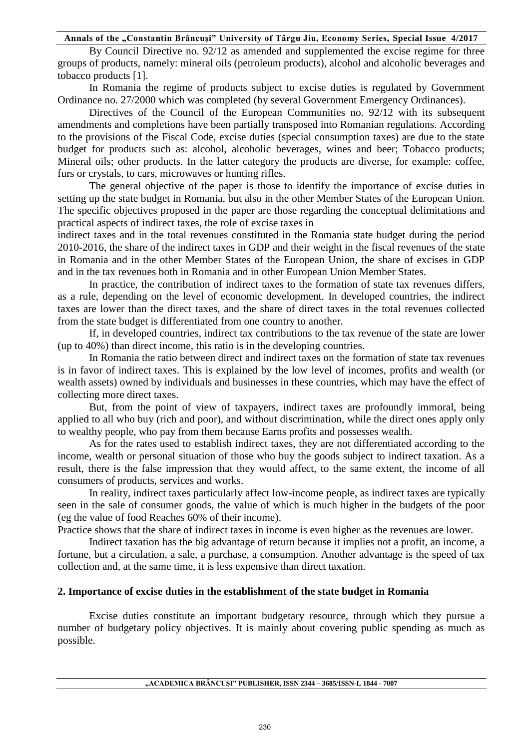By Council Directive no. 92/12 as amended and supplemented the excise regime for three groups of products, namely: mineral oils (petroleum products), alcohol and alcoholic beverages and tobacco products [1].

In Romania the regime of products subject to excise duties is regulated by Government Ordinance no. 27/2000 which was completed (by several Government Emergency Ordinances).

Directives of the Council of the European Communities no. 92/12 with its subsequent amendments and completions have been partially transposed into Romanian regulations. According to the provisions of the Fiscal Code, excise duties (special consumption taxes) are due to the state budget for products such as: alcohol, alcoholic beverages, wines and beer; Tobacco products; Mineral oils; other products. In the latter category the products are diverse, for example: coffee, furs or crystals, to cars, microwaves or hunting rifles.

The general objective of the paper is those to identify the importance of excise duties in setting up the state budget in Romania, but also in the other Member States of the European Union. The specific objectives proposed in the paper are those regarding the conceptual delimitations and practical aspects of indirect taxes, the role of excise taxes in

indirect taxes and in the total revenues constituted in the Romania state budget during the period 2010-2016, the share of the indirect taxes in GDP and their weight in the fiscal revenues of the state in Romania and in the other Member States of the European Union, the share of excises in GDP and in the tax revenues both in Romania and in other European Union Member States.

In practice, the contribution of indirect taxes to the formation of state tax revenues differs, as a rule, depending on the level of economic development. In developed countries, the indirect taxes are lower than the direct taxes, and the share of direct taxes in the total revenues collected from the state budget is differentiated from one country to another.

If, in developed countries, indirect tax contributions to the tax revenue of the state are lower (up to 40%) than direct income, this ratio is in the developing countries.

In Romania the ratio between direct and indirect taxes on the formation of state tax revenues is in favor of indirect taxes. This is explained by the low level of incomes, profits and wealth (or wealth assets) owned by individuals and businesses in these countries, which may have the effect of collecting more direct taxes.

But, from the point of view of taxpayers, indirect taxes are profoundly immoral, being applied to all who buy (rich and poor), and without discrimination, while the direct ones apply only to wealthy people, who pay from them because Earns profits and possesses wealth.

As for the rates used to establish indirect taxes, they are not differentiated according to the income, wealth or personal situation of those who buy the goods subject to indirect taxation. As a result, there is the false impression that they would affect, to the same extent, the income of all consumers of products, services and works.

In reality, indirect taxes particularly affect low-income people, as indirect taxes are typically seen in the sale of consumer goods, the value of which is much higher in the budgets of the poor (eg the value of food Reaches 60% of their income).

Practice shows that the share of indirect taxes in income is even higher as the revenues are lower.

Indirect taxation has the big advantage of return because it implies not a profit, an income, a fortune, but a circulation, a sale, a purchase, a consumption. Another advantage is the speed of tax collection and, at the same time, it is less expensive than direct taxation.

## **2. Importance of excise duties in the establishment of the state budget in Romania**

Excise duties constitute an important budgetary resource, through which they pursue a number of budgetary policy objectives. It is mainly about covering public spending as much as possible.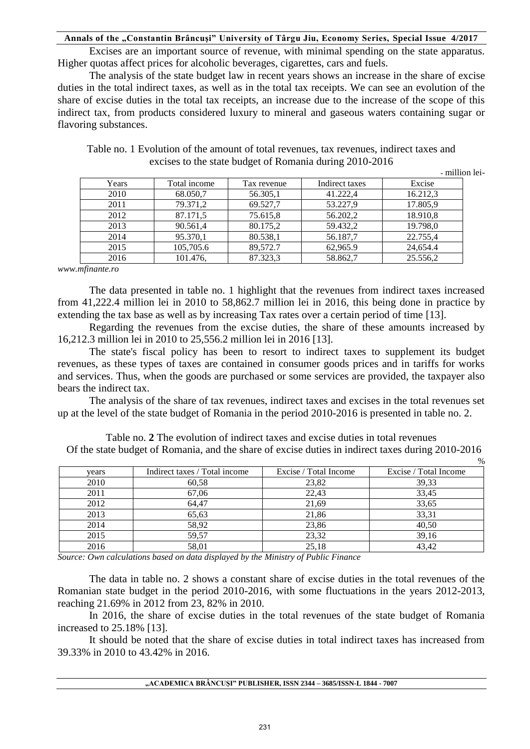Excises are an important source of revenue, with minimal spending on the state apparatus. Higher quotas affect prices for alcoholic beverages, cigarettes, cars and fuels.

The analysis of the state budget law in recent years shows an increase in the share of excise duties in the total indirect taxes, as well as in the total tax receipts. We can see an evolution of the share of excise duties in the total tax receipts, an increase due to the increase of the scope of this indirect tax, from products considered luxury to mineral and gaseous waters containing sugar or flavoring substances.

|  |  | Table no. 1 Evolution of the amount of total revenues, tax revenues, indirect taxes and |  |
|--|--|-----------------------------------------------------------------------------------------|--|
|  |  | excises to the state budget of Romania during 2010-2016                                 |  |

**-** million lei-

 $0/2$ 

| Years | Total income | Tax revenue | Indirect taxes | Excise   |
|-------|--------------|-------------|----------------|----------|
| 2010  | 68.050,7     | 56.305,1    | 41.222,4       | 16.212,3 |
| 2011  | 79.371,2     | 69.527,7    | 53.227,9       | 17.805,9 |
| 2012  | 87.171,5     | 75.615,8    | 56.202,2       | 18.910,8 |
| 2013  | 90.561,4     | 80.175,2    | 59.432,2       | 19.798,0 |
| 2014  | 95.370,1     | 80.538,1    | 56.187,7       | 22.755,4 |
| 2015  | 105,705.6    | 89,572.7    | 62,965.9       | 24,654.4 |
| 2016  | 101.476,     | 87.323,3    | 58.862,7       | 25.556,2 |

*www.mfinante.ro* 

The data presented in table no. 1 highlight that the revenues from indirect taxes increased from 41,222.4 million lei in 2010 to 58,862.7 million lei in 2016, this being done in practice by extending the tax base as well as by increasing Tax rates over a certain period of time [13].

Regarding the revenues from the excise duties, the share of these amounts increased by 16,212.3 million lei in 2010 to 25,556.2 million lei in 2016 [13].

The state's fiscal policy has been to resort to indirect taxes to supplement its budget revenues, as these types of taxes are contained in consumer goods prices and in tariffs for works and services. Thus, when the goods are purchased or some services are provided, the taxpayer also bears the indirect tax.

The analysis of the share of tax revenues, indirect taxes and excises in the total revenues set up at the level of the state budget of Romania in the period 2010-2016 is presented in table no. 2.

Table no. **2** The evolution of indirect taxes and excise duties in total revenues Of the state budget of Romania, and the share of excise duties in indirect taxes during 2010-2016

|       |                               |                       | 7 V                   |
|-------|-------------------------------|-----------------------|-----------------------|
| years | Indirect taxes / Total income | Excise / Total Income | Excise / Total Income |
| 2010  | 60,58                         | 23,82                 | 39,33                 |
| 2011  | 67.06                         | 22,43                 | 33.45                 |
| 2012  | 64.47                         | 21,69                 | 33,65                 |
| 2013  | 65,63                         | 21,86                 | 33,31                 |
| 2014  | 58,92                         | 23,86                 | 40,50                 |
| 2015  | 59,57                         | 23,32                 | 39,16                 |
| 2016  | 58,01                         | 25,18                 | 43,42                 |

*Source: Own calculations based on data displayed by the Ministry of Public Finance*

The data in table no. 2 shows a constant share of excise duties in the total revenues of the Romanian state budget in the period 2010-2016, with some fluctuations in the years 2012-2013, reaching 21.69% in 2012 from 23, 82% in 2010.

In 2016, the share of excise duties in the total revenues of the state budget of Romania increased to 25.18% [13].

It should be noted that the share of excise duties in total indirect taxes has increased from 39.33% in 2010 to 43.42% in 2016.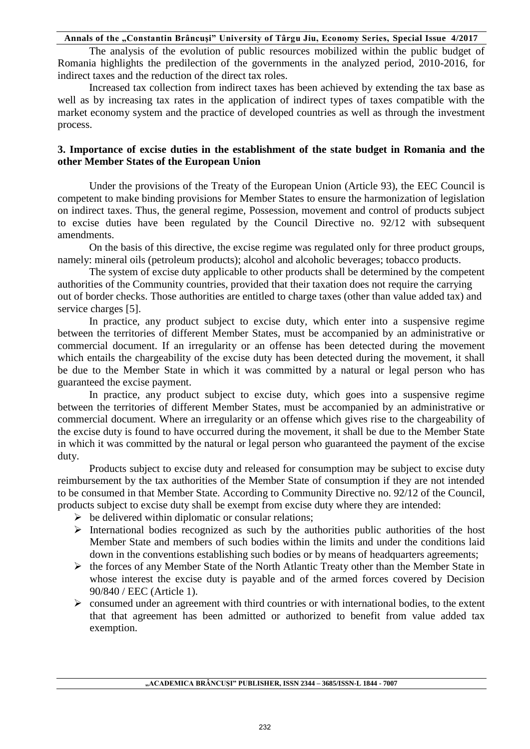The analysis of the evolution of public resources mobilized within the public budget of Romania highlights the predilection of the governments in the analyzed period, 2010-2016, for indirect taxes and the reduction of the direct tax roles.

Increased tax collection from indirect taxes has been achieved by extending the tax base as well as by increasing tax rates in the application of indirect types of taxes compatible with the market economy system and the practice of developed countries as well as through the investment process.

# **3. Importance of excise duties in the establishment of the state budget in Romania and the other Member States of the European Union**

Under the provisions of the Treaty of the European Union (Article 93), the EEC Council is competent to make binding provisions for Member States to ensure the harmonization of legislation on indirect taxes. Thus, the general regime, Possession, movement and control of products subject to excise duties have been regulated by the Council Directive no. 92/12 with subsequent amendments.

On the basis of this directive, the excise regime was regulated only for three product groups, namely: mineral oils (petroleum products); alcohol and alcoholic beverages; tobacco products.

The system of excise duty applicable to other products shall be determined by the competent authorities of the Community countries, provided that their taxation does not require the carrying out of border checks. Those authorities are entitled to charge taxes (other than value added tax) and service charges [5].

In practice, any product subject to excise duty, which enter into a suspensive regime between the territories of different Member States, must be accompanied by an administrative or commercial document. If an irregularity or an offense has been detected during the movement which entails the chargeability of the excise duty has been detected during the movement, it shall be due to the Member State in which it was committed by a natural or legal person who has guaranteed the excise payment.

In practice, any product subject to excise duty, which goes into a suspensive regime between the territories of different Member States, must be accompanied by an administrative or commercial document. Where an irregularity or an offense which gives rise to the chargeability of the excise duty is found to have occurred during the movement, it shall be due to the Member State in which it was committed by the natural or legal person who guaranteed the payment of the excise duty.

Products subject to excise duty and released for consumption may be subject to excise duty reimbursement by the tax authorities of the Member State of consumption if they are not intended to be consumed in that Member State. According to Community Directive no. 92/12 of the Council, products subject to excise duty shall be exempt from excise duty where they are intended:

- $\triangleright$  be delivered within diplomatic or consular relations;
- $\triangleright$  International bodies recognized as such by the authorities public authorities of the host Member State and members of such bodies within the limits and under the conditions laid down in the conventions establishing such bodies or by means of headquarters agreements;
- $\triangleright$  the forces of any Member State of the North Atlantic Treaty other than the Member State in whose interest the excise duty is payable and of the armed forces covered by Decision 90/840 / EEC (Article 1).
- $\triangleright$  consumed under an agreement with third countries or with international bodies, to the extent that that agreement has been admitted or authorized to benefit from value added tax exemption.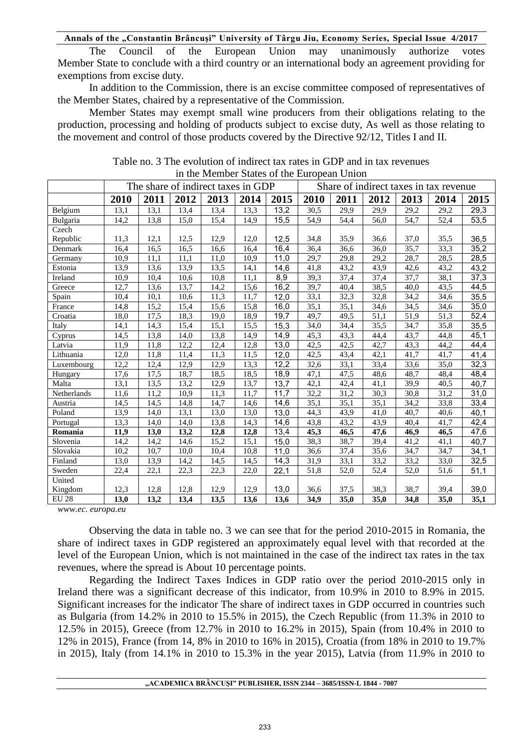The Council of the European Union may unanimously authorize votes Member State to conclude with a third country or an international body an agreement providing for exemptions from excise duty.

In addition to the Commission, there is an excise committee composed of representatives of the Member States, chaired by a representative of the Commission.

Member States may exempt small wine producers from their obligations relating to the production, processing and holding of products subject to excise duty, As well as those relating to the movement and control of those products covered by the Directive 92/12, Titles I and II.

|              | The share of indirect taxes in GDP |                   |                   |      |      | Share of indirect taxes in tax revenue |      |                   |                  |      |      |      |
|--------------|------------------------------------|-------------------|-------------------|------|------|----------------------------------------|------|-------------------|------------------|------|------|------|
|              | 2010                               | 2011              | 2012              | 2013 | 2014 | 2015                                   | 2010 | 2011              | 2012             | 2013 | 2014 | 2015 |
| Belgium      | 13,1                               | 13,1              | 13,4              | 13,4 | 13.3 | 13,2                                   | 30,5 | 29,9              | 29,9             | 29,2 | 29,2 | 29,3 |
| Bulgaria     | 14,2                               | 13,8              | 15,0              | 15,4 | 14,9 | 15,5                                   | 54,9 | 54,4              | 56,0             | 54,7 | 52,4 | 53,5 |
| Czech        |                                    |                   |                   |      |      |                                        |      |                   |                  |      |      |      |
| Republic     | 11,3                               | 12,1              | 12,5              | 12,9 | 12,0 | 12,5                                   | 34,8 | 35,9              | 36,6             | 37,0 | 35,5 | 36,5 |
| Denmark      | 16,4                               | 16,5              | 16,5              | 16,6 | 16,4 | 16,4                                   | 36,4 | 36,6              | $\frac{36,0}{ }$ | 35,7 | 33,3 | 35,2 |
| Germany      | 10,9                               | 11,1              | 11,1              | 11,0 | 10,9 | 11,0                                   | 29,7 | 29,8              | 29,2             | 28,7 | 28,5 | 28,5 |
| Estonia      | 13,9                               | 13,6              | 13,9              | 13,5 | 14,1 | 14,6                                   | 41,8 | 43,2              | 43,9             | 42,6 | 43,2 | 43,2 |
| Ireland      | 10,9                               | 10,4              | 10,6              | 10,8 | 11,1 | 8,9                                    | 39,3 | $\overline{37,4}$ | 37,4             | 37,7 | 38,1 | 37,3 |
| Greece       | 12,7                               | 13,6              | 13,7              | 14,2 | 15,6 | 16,2                                   | 39,7 | 40,4              | 38,5             | 40,0 | 43,5 | 44,5 |
| Spain        | 10,4                               | 10,1              | 10,6              | 11,3 | 11,7 | 12,0                                   | 33,1 | 32,3              | 32,8             | 34,2 | 34,6 | 35,5 |
| France       | 14,8                               | 15,2              | 15,4              | 15,6 | 15,8 | 16,0                                   | 35,1 | 35,1              | 34,6             | 34,5 | 34,6 | 35,0 |
| Croatia      | 18,0                               | 17,5              | 18,3              | 19,0 | 18,9 | 19,7                                   | 49,7 | 49,5              | 51,1             | 51,9 | 51,3 | 52,4 |
| Italy        | 14,1                               | 14,3              | 15,4              | 15,1 | 15,5 | 15,3                                   | 34,0 | 34,4              | 35,5             | 34,7 | 35,8 | 35,5 |
| Cyprus       | 14,5                               | 13,8              | 14,0              | 13,8 | 14,9 | 14,9                                   | 45,3 | 43,3              | 44,4             | 43,7 | 44,8 | 45,1 |
| Latvia       | 11,9                               | 11,8              | 12,2              | 12,4 | 12,8 | 13,0                                   | 42,5 | 42,5              | 42,7             | 43,3 | 44,2 | 44,4 |
| Lithuania    | 12,0                               | 11,8              | 11,4              | 11,3 | 11,5 | 12,0                                   | 42,5 | 43,4              | 42,1             | 41,7 | 41,7 | 41,4 |
| Luxembourg   | 12,2                               | 12,4              | 12,9              | 12,9 | 13,3 | 12,2                                   | 32,6 | 33,1              | 33,4             | 33,6 | 35,0 | 32,3 |
| Hungary      | 17,6                               | 17,5              | 18,7              | 18,5 | 18,5 | 18,9                                   | 47,1 | 47,5              | 48,6             | 48,7 | 48,4 | 48,4 |
| Malta        | 13,1                               | 13,5              | 13,2              | 12.9 | 13,7 | 13,7                                   | 42,1 | 42,4              | 41,1             | 39,9 | 40,5 | 40,7 |
| Netherlands  | 11,6                               | 11,2              | $10,\overline{9}$ | 11,3 | 11,7 | 11,7                                   | 32,2 | 31,2              | 30,3             | 30,8 | 31,2 | 31,0 |
| Austria      | 14,5                               | 14,5              | 14,8              | 14,7 | 14,6 | 14,6                                   | 35,1 | 35,1              | 35,1             | 34,2 | 33,8 | 33,4 |
| Poland       | 13.9                               | 14,0              | 13,1              | 13,0 | 13,0 | 13,0                                   | 44,3 | 43,9              | 41,0             | 40,7 | 40.6 | 40,1 |
| Portugal     | 13,3                               | 14,0              | 14,0              | 13,8 | 14,3 | 14,6                                   | 43,8 | 43,2              | 43,9             | 40,4 | 41,7 | 42,4 |
| Romania      | 11,9                               | 13,0              | 13,2              | 12,8 | 12,8 | 13,4                                   | 45,3 | 46,5              | 47,6             | 46,9 | 46,5 | 47,6 |
| Slovenia     | 14,2                               | 14,2              | 14,6              | 15,2 | 15,1 | 15,0                                   | 38,3 | 38,7              | 39,4             | 41,2 | 41,1 | 40,7 |
| Slovakia     | 10,2                               | 10,7              | 10,0              | 10,4 | 10,8 | 11.0                                   | 36,6 | 37,4              | 35,6             | 34,7 | 34,7 | 34,1 |
| Finland      | 13,0                               | 13,9              | 14,2              | 14,5 | 14,5 | 14,3                                   | 31,9 | 33,1              | 33,2             | 33,2 | 33,0 | 32,5 |
| Sweden       | 22,4                               | $\overline{22,1}$ | $\overline{22,3}$ | 22,3 | 22,0 | 22,1                                   | 51,8 | 52,0              | 52,4             | 52,0 | 51,6 | 51,1 |
| United       |                                    |                   |                   |      |      |                                        |      |                   |                  |      |      |      |
| Kingdom      | 12,3                               | 12,8              | 12,8              | 12.9 | 12,9 | 13,0                                   | 36,6 | 37,5              | 38,3             | 38,7 | 39,4 | 39,0 |
| <b>EU 28</b> | 13,0                               | 13,2              | 13,4              | 13,5 | 13,6 | 13,6                                   | 34,9 | 35,0              | 35,0             | 34,8 | 35,0 | 35,1 |

Table no. 3 The evolution of indirect tax rates in GDP and in tax revenues in the Member States of the European Union

*www.ec. europa.eu* 

Observing the data in table no. 3 we can see that for the period 2010-2015 in Romania, the share of indirect taxes in GDP registered an approximately equal level with that recorded at the level of the European Union, which is not maintained in the case of the indirect tax rates in the tax revenues, where the spread is About 10 percentage points.

Regarding the Indirect Taxes Indices in GDP ratio over the period 2010-2015 only in Ireland there was a significant decrease of this indicator, from 10.9% in 2010 to 8.9% in 2015. Significant increases for the indicator The share of indirect taxes in GDP occurred in countries such as Bulgaria (from 14.2% in 2010 to 15.5% in 2015), the Czech Republic (from 11.3% in 2010 to 12.5% in 2015), Greece (from 12.7% in 2010 to 16.2% in 2015), Spain (from 10.4% in 2010 to 12% in 2015), France (from 14, 8% in 2010 to 16% in 2015), Croatia (from 18% in 2010 to 19.7% in 2015), Italy (from 14.1% in 2010 to 15.3% in the year 2015), Latvia (from 11.9% in 2010 to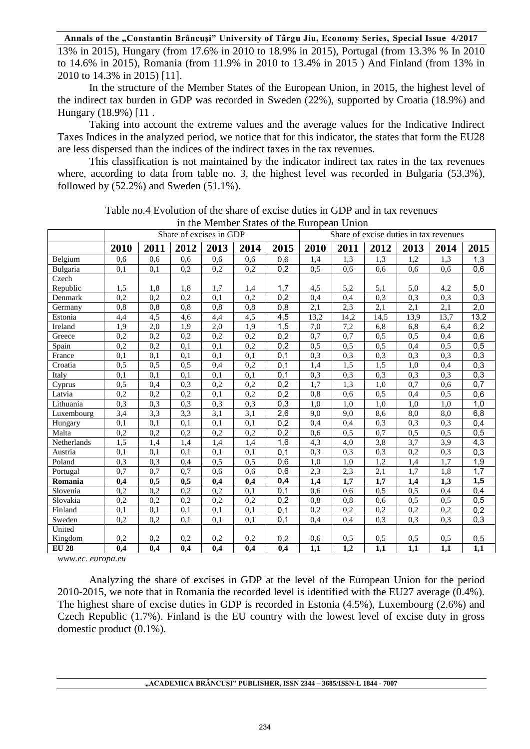13% in 2015), Hungary (from 17.6% in 2010 to 18.9% in 2015), Portugal (from 13.3% % In 2010 to 14.6% in 2015), Romania (from 11.9% in 2010 to 13.4% in 2015 ) And Finland (from 13% in 2010 to 14.3% in 2015) [11].

In the structure of the Member States of the European Union, in 2015, the highest level of the indirect tax burden in GDP was recorded in Sweden (22%), supported by Croatia (18.9%) and Hungary (18.9%) [11 .

Taking into account the extreme values and the average values for the Indicative Indirect Taxes Indices in the analyzed period, we notice that for this indicator, the states that form the EU28 are less dispersed than the indices of the indirect taxes in the tax revenues.

This classification is not maintained by the indicator indirect tax rates in the tax revenues where, according to data from table no. 3, the highest level was recorded in Bulgaria (53.3%), followed by  $(52.2\%)$  and Sweden  $(51.1\%)$ .

|              | In the member blates of the European Union<br>Share of excises in GDP |                  |                  |                  |                  | Share of excise duties in tax revenues |                  |      |                  |                  |      |      |
|--------------|-----------------------------------------------------------------------|------------------|------------------|------------------|------------------|----------------------------------------|------------------|------|------------------|------------------|------|------|
|              |                                                                       |                  |                  |                  |                  |                                        |                  |      |                  |                  |      |      |
|              | 2010                                                                  | 2011             | 2012             | 2013             | 2014             | 2015                                   | 2010             | 2011 | 2012             | 2013             | 2014 | 2015 |
| Belgium      | 0.6                                                                   | 0,6              | 0,6              | 0,6              | 0,6              | 0,6                                    | 1,4              | 1,3  | $\overline{1,3}$ | 1,2              | 1,3  | 1,3  |
| Bulgaria     | 0,1                                                                   | 0,1              | 0,2              | 0,2              | 0,2              | 0,2                                    | 0,5              | 0,6  | 0,6              | 0,6              | 0.6  | 0,6  |
| Czech        |                                                                       |                  |                  |                  |                  |                                        |                  |      |                  |                  |      |      |
| Republic     | 1,5                                                                   | 1,8              | 1,8              | 1,7              | 1,4              | 1,7                                    | 4,5              | 5,2  | 5,1              | 5,0              | 4,2  | 5,0  |
| Denmark      | 0,2                                                                   | 0,2              | 0,2              | 0,1              | 0,2              | 0,2                                    | 0,4              | 0.4  | 0.3              | 0.3              | 0.3  | 0,3  |
| Germany      | 0,8                                                                   | $\overline{0,8}$ | 0,8              | 0,8              | $\overline{0,8}$ | 0,8                                    | 2,1              | 2,3  | 2,1              | 2,1              | 2,1  | 2,0  |
| Estonia      | 4,4                                                                   | 4,5              | 4,6              | 4,4              | 4,5              | $\overline{4,5}$                       | 13,2             | 14,2 | 14,5             | 13,9             | 13,7 | 13,2 |
| Ireland      | 1.9                                                                   | $\overline{2,0}$ | 1,9              | 2,0              | 1,9              | 1,5                                    | 7,0              | 7,2  | 6,8              | 6,8              | 6,4  | 6,2  |
| Greece       | 0,2                                                                   | 0,2              | 0,2              | 0,2              | 0,2              | 0,2                                    | 0,7              | 0,7  | 0.5              | 0.5              | 0,4  | 0,6  |
| Spain        | 0,2                                                                   | 0,2              | 0,1              | 0,1              | 0,2              | 0,2                                    | 0,5              | 0,5  | 0,5              | 0,4              | 0,5  | 0,5  |
| France       | 0,1                                                                   | 0,1              | 0,1              | 0,1              | 0,1              | 0,1                                    | 0,3              | 0,3  | 0,3              | 0,3              | 0,3  | 0,3  |
| Croatia      | 0,5                                                                   | 0,5              | 0,5              | 0,4              | 0,2              | 0,1                                    | 1,4              | 1,5  | 1,5              | 1,0              | 0,4  | 0,3  |
| Italy        | 0.1                                                                   | 0,1              | 0,1              | 0,1              | $\overline{0,1}$ | 0,1                                    | 0,3              | 0,3  | 0,3              | 0,3              | 0,3  | 0,3  |
| Cyprus       | 0,5                                                                   | 0,4              | 0,3              | 0,2              | 0,2              | 0,2                                    | 1,7              | 1,3  | 1,0              | 0,7              | 0,6  | 0,7  |
| Latvia       | 0,2                                                                   | 0,2              | 0,2              | 0,1              | 0,2              | $\overline{0,2}$                       | 0,8              | 0,6  | 0,5              | 0,4              | 0,5  | 0,6  |
| Lithuania    | 0,3                                                                   | 0,3              | 0,3              | 0,3              | 0,3              | 0,3                                    | 1,0              | 1,0  | 1,0              | 1,0              | 1,0  | 1,0  |
| Luxembourg   | 3,4                                                                   | 3,3              | $\overline{3,3}$ | $\overline{3,1}$ | 3,1              | 2,6                                    | $\overline{9,0}$ | 9,0  | 8,6              | $\overline{8,0}$ | 8,0  | 6,8  |
| Hungary      | 0,1                                                                   | 0,1              | 0,1              | 0,1              | 0,1              | 0,2                                    | 0,4              | 0,4  | 0,3              | 0,3              | 0.3  | 0,4  |
| Malta        | 0,2                                                                   | 0,2              | 0,2              | 0,2              | 0,2              | 0,2                                    | 0,6              | 0,5  | 0,7              | 0,5              | 0,5  | 0,5  |
| Netherlands  | 1.5                                                                   | 1,4              | 1,4              | 1,4              | 1,4              | 1,6                                    | 4,3              | 4,0  | 3,8              | 3,7              | 3,9  | 4,3  |
| Austria      | 0,1                                                                   | 0.1              | 0.1              | 0,1              | 0,1              | 0,1                                    | 0,3              | 0,3  | 0.3              | 0,2              | 0,3  | 0,3  |
| Poland       | 0.3                                                                   | 0,3              | 0.4              | 0,5              | 0,5              | 0,6                                    | 1,0              | 1,0  | 1,2              | 1,4              | 1,7  | 1,9  |
| Portugal     | 0.7                                                                   | 0,7              | 0.7              | 0,6              | 0,6              | $\overline{0,6}$                       | 2,3              | 2,3  | 2,1              | 1,7              | 1,8  | 1,7  |
| Romania      | 0,4                                                                   | 0,5              | 0,5              | 0,4              | 0,4              | 0,4                                    | 1,4              | 1,7  | 1,7              | 1,4              | 1,3  | 1,5  |
| Slovenia     | 0,2                                                                   | 0,2              | 0,2              | 0,2              | 0,1              | 0,1                                    | 0,6              | 0.6  | 0,5              | 0,5              | 0,4  | 0,4  |
| Slovakia     | 0,2                                                                   | 0,2              | 0,2              | 0,2              | 0,2              | 0,2                                    | 0,8              | 0,8  | 0.6              | 0,5              | 0,5  | 0,5  |
| Finland      | 0,1                                                                   | 0,1              | 0,1              | 0,1              | 0,1              | 0,1                                    | 0,2              | 0,2  | 0,2              | 0,2              | 0,2  | 0,2  |
| Sweden       | 0,2                                                                   | $\overline{0,2}$ | 0,1              | 0,1              | 0,1              | 0,1                                    | 0,4              | 0,4  | 0,3              | 0.3              | 0,3  | 0,3  |
| United       |                                                                       |                  |                  |                  |                  |                                        |                  |      |                  |                  |      |      |
| Kingdom      | 0,2                                                                   | 0,2              | 0,2              | 0,2              | 0,2              | 0,2                                    | 0,6              | 0,5  | 0,5              | 0,5              | 0,5  | 0,5  |
| <b>EU 28</b> | 0,4                                                                   | 0,4              | 0,4              | 0,4              | 0,4              | 0,4                                    | 1,1              | 1,2  | 1,1              | 1,1              | 1,1  | 1,1  |

Table no.4 Evolution of the share of excise duties in GDP and in tax revenues in the Member States of the European Union

*www.ec. europa.eu* 

Analyzing the share of excises in GDP at the level of the European Union for the period 2010-2015, we note that in Romania the recorded level is identified with the EU27 average (0.4%). The highest share of excise duties in GDP is recorded in Estonia (4.5%), Luxembourg (2.6%) and Czech Republic (1.7%). Finland is the EU country with the lowest level of excise duty in gross domestic product (0.1%).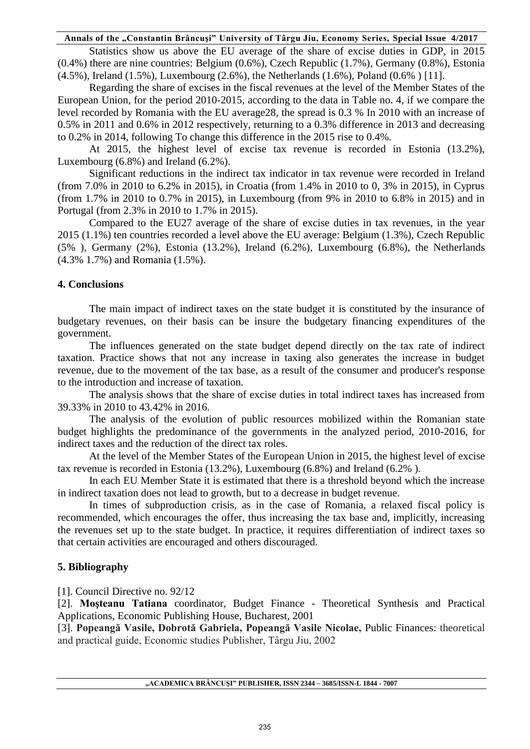Statistics show us above the EU average of the share of excise duties in GDP, in 2015 (0.4%) there are nine countries: Belgium (0.6%), Czech Republic (1.7%), Germany (0.8%), Estonia (4.5%), Ireland (1.5%), Luxembourg (2.6%), the Netherlands (1.6%), Poland (0.6% ) [11].

Regarding the share of excises in the fiscal revenues at the level of the Member States of the European Union, for the period 2010-2015, according to the data in Table no. 4, if we compare the level recorded by Romania with the EU average28, the spread is 0.3 % In 2010 with an increase of 0.5% in 2011 and 0.6% in 2012 respectively, returning to a 0.3% difference in 2013 and decreasing to 0.2% in 2014, following To change this difference in the 2015 rise to 0.4%.

At 2015, the highest level of excise tax revenue is recorded in Estonia (13.2%), Luxembourg (6.8%) and Ireland (6.2%).

Significant reductions in the indirect tax indicator in tax revenue were recorded in Ireland (from 7.0% in 2010 to 6.2% in 2015), in Croatia (from 1.4% in 2010 to 0, 3% in 2015), in Cyprus (from 1.7% in 2010 to 0.7% in 2015), in Luxembourg (from 9% in 2010 to 6.8% in 2015) and in Portugal (from 2.3% in 2010 to 1.7% in 2015).

Compared to the EU27 average of the share of excise duties in tax revenues, in the year 2015 (1.1%) ten countries recorded a level above the EU average: Belgium (1.3%), Czech Republic (5% ), Germany (2%), Estonia (13.2%), Ireland (6.2%), Luxembourg (6.8%), the Netherlands (4.3% 1.7%) and Romania (1.5%).

## **4. Conclusions**

The main impact of indirect taxes on the state budget it is constituted by the insurance of budgetary revenues, on their basis can be insure the budgetary financing expenditures of the government.

The influences generated on the state budget depend directly on the tax rate of indirect taxation. Practice shows that not any increase in taxing also generates the increase in budget revenue, due to the movement of the tax base, as a result of the consumer and producer's response to the introduction and increase of taxation.

The analysis shows that the share of excise duties in total indirect taxes has increased from 39.33% in 2010 to 43.42% in 2016.

The analysis of the evolution of public resources mobilized within the Romanian state budget highlights the predominance of the governments in the analyzed period, 2010-2016, for indirect taxes and the reduction of the direct tax roles.

At the level of the Member States of the European Union in 2015, the highest level of excise tax revenue is recorded in Estonia (13.2%), Luxembourg (6.8%) and Ireland (6.2% ).

In each EU Member State it is estimated that there is a threshold beyond which the increase in indirect taxation does not lead to growth, but to a decrease in budget revenue.

In times of subproduction crisis, as in the case of Romania, a relaxed fiscal policy is recommended, which encourages the offer, thus increasing the tax base and, implicitly, increasing the revenues set up to the state budget. In practice, it requires differentiation of indirect taxes so that certain activities are encouraged and others discouraged.

## **5. Bibliography**

[1]. Council Directive no. 92/12

[2]. **Moşteanu Tatiana** coordinator, Budget Finance - Theoretical Synthesis and Practical Applications, Economic Publishing House, Bucharest, 2001

[3]. **Popeangă Vasile, Dobrotă Gabriela, Popeangă Vasile Nicolae,** Public Finances: theoretical and practical guide, Economic studies Publisher, Târgu Jiu, 2002